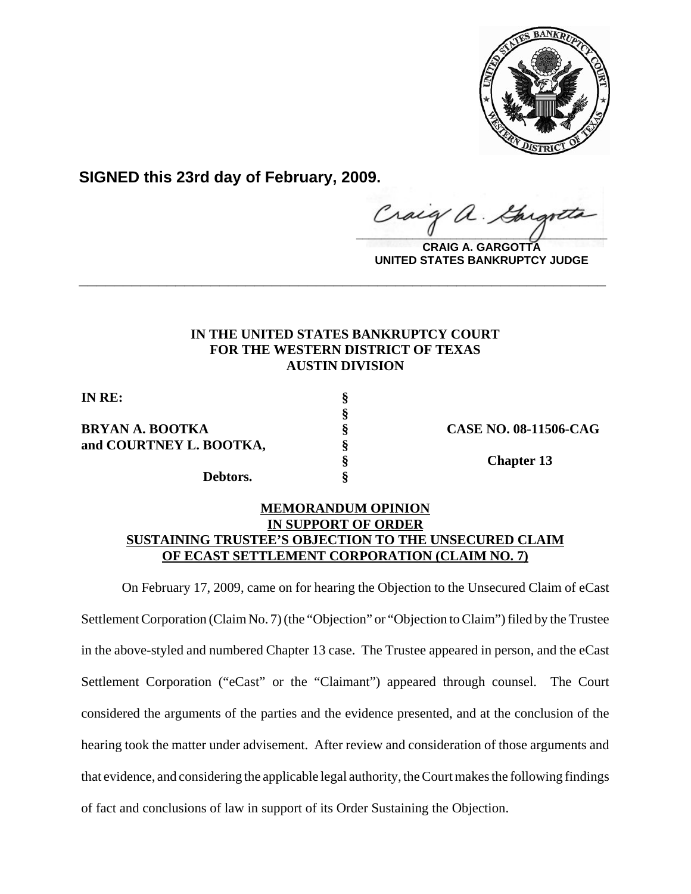

**SIGNED this 23rd day of February, 2009.**

Craig a.

**CRAIG A. GARGOTTA UNITED STATES BANKRUPTCY JUDGE**

## **IN THE UNITED STATES BANKRUPTCY COURT FOR THE WESTERN DISTRICT OF TEXAS AUSTIN DIVISION**

**\_\_\_\_\_\_\_\_\_\_\_\_\_\_\_\_\_\_\_\_\_\_\_\_\_\_\_\_\_\_\_\_\_\_\_\_\_\_\_\_\_\_\_\_\_\_\_\_\_\_\_\_\_\_\_\_\_\_\_\_**

**§**

**IN RE: §**

## **BRYAN A. BOOTKA § CASE NO. 08-11506-CAG and COURTNEY L. BOOTKA, §**

**Debtors. §**

**§ Chapter 13**

## **MEMORANDUM OPINION IN SUPPORT OF ORDER SUSTAINING TRUSTEE'S OBJECTION TO THE UNSECURED CLAIM OF ECAST SETTLEMENT CORPORATION (CLAIM NO. 7)**

On February 17, 2009, came on for hearing the Objection to the Unsecured Claim of eCast Settlement Corporation (Claim No. 7) (the "Objection" or "Objection to Claim") filed by the Trustee in the above-styled and numbered Chapter 13 case. The Trustee appeared in person, and the eCast Settlement Corporation ("eCast" or the "Claimant") appeared through counsel. The Court considered the arguments of the parties and the evidence presented, and at the conclusion of the hearing took the matter under advisement. After review and consideration of those arguments and that evidence, and considering the applicable legal authority, the Court makes the following findings of fact and conclusions of law in support of its Order Sustaining the Objection.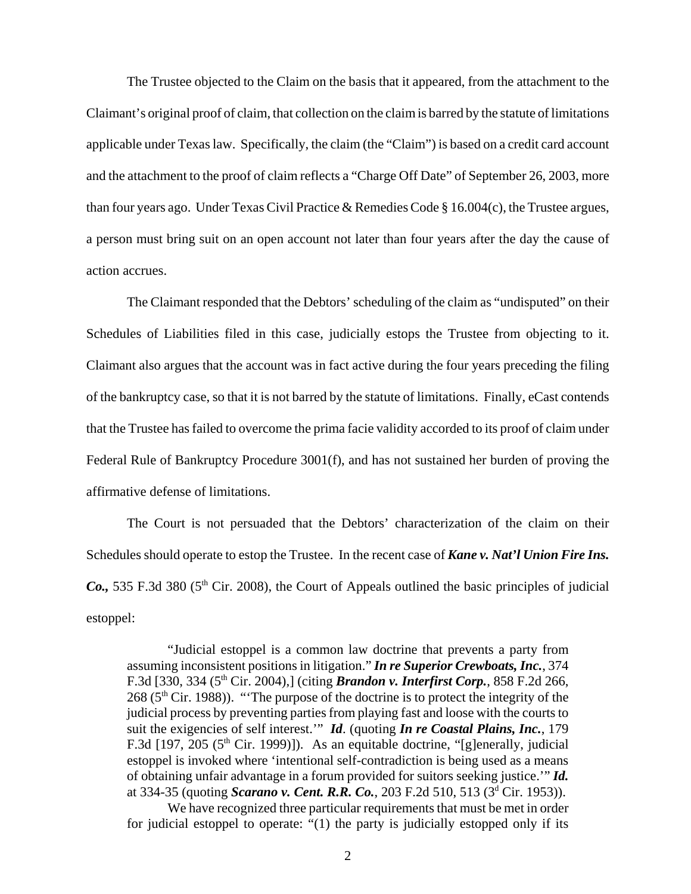The Trustee objected to the Claim on the basis that it appeared, from the attachment to the Claimant's original proof of claim, that collection on the claim is barred by the statute of limitations applicable under Texas law. Specifically, the claim (the "Claim") is based on a credit card account and the attachment to the proof of claim reflects a "Charge Off Date" of September 26, 2003, more than four years ago. Under Texas Civil Practice & Remedies Code § 16.004(c), the Trustee argues, a person must bring suit on an open account not later than four years after the day the cause of action accrues.

The Claimant responded that the Debtors' scheduling of the claim as "undisputed" on their Schedules of Liabilities filed in this case, judicially estops the Trustee from objecting to it. Claimant also argues that the account was in fact active during the four years preceding the filing of the bankruptcy case, so that it is not barred by the statute of limitations. Finally, eCast contends that the Trustee has failed to overcome the prima facie validity accorded to its proof of claim under Federal Rule of Bankruptcy Procedure 3001(f), and has not sustained her burden of proving the affirmative defense of limitations.

The Court is not persuaded that the Debtors' characterization of the claim on their Schedules should operate to estop the Trustee. In the recent case of *Kane v. Nat'l Union Fire Ins. Co.*, 535 F.3d 380 (5<sup>th</sup> Cir. 2008), the Court of Appeals outlined the basic principles of judicial estoppel:

"Judicial estoppel is a common law doctrine that prevents a party from assuming inconsistent positions in litigation." *In re Superior Crewboats, Inc.*, 374 F.3d [330, 334 (5<sup>th</sup> Cir. 2004),] (citing *Brandon v. Interfirst Corp.*, 858 F.2d 266,  $268$  ( $5<sup>th</sup>$  Cir. 1988)). "The purpose of the doctrine is to protect the integrity of the judicial process by preventing parties from playing fast and loose with the courts to suit the exigencies of self interest.'" *Id*. (quoting *In re Coastal Plains, Inc.*, 179 F.3d [197, 205 ( $5<sup>th</sup>$  Cir. 1999)]). As an equitable doctrine, "[g]enerally, judicial estoppel is invoked where 'intentional self-contradiction is being used as a means of obtaining unfair advantage in a forum provided for suitors seeking justice.'" *Id.* at 334-35 (quoting *Scarano v. Cent. R.R. Co.*, 203 F.2d 510, 513 (3<sup>d</sup> Cir. 1953)).

We have recognized three particular requirements that must be met in order for judicial estoppel to operate: "(1) the party is judicially estopped only if its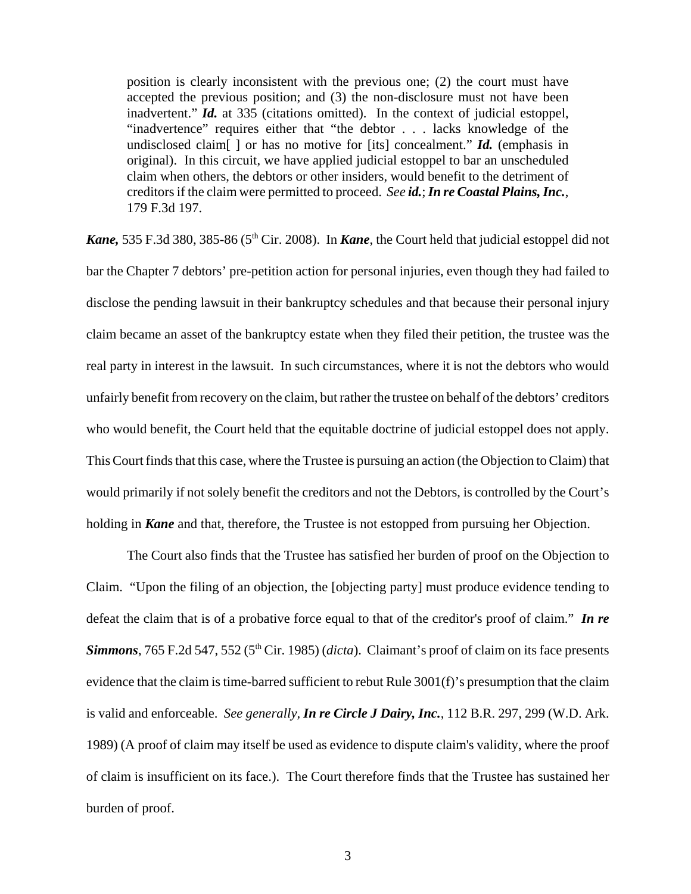position is clearly inconsistent with the previous one; (2) the court must have accepted the previous position; and (3) the non-disclosure must not have been inadvertent." *Id.* at 335 (citations omitted). In the context of judicial estoppel, "inadvertence" requires either that "the debtor . . . lacks knowledge of the undisclosed claim[ ] or has no motive for [its] concealment." *Id.* (emphasis in original). In this circuit, we have applied judicial estoppel to bar an unscheduled claim when others, the debtors or other insiders, would benefit to the detriment of creditors if the claim were permitted to proceed. *See id.*; *In re Coastal Plains, Inc.*, 179 F.3d 197.

*Kane*, 535 F.3d 380, 385-86 (5<sup>th</sup> Cir. 2008). In *Kane*, the Court held that judicial estoppel did not bar the Chapter 7 debtors' pre-petition action for personal injuries, even though they had failed to disclose the pending lawsuit in their bankruptcy schedules and that because their personal injury claim became an asset of the bankruptcy estate when they filed their petition, the trustee was the real party in interest in the lawsuit. In such circumstances, where it is not the debtors who would unfairly benefit from recovery on the claim, but rather the trustee on behalf of the debtors' creditors who would benefit, the Court held that the equitable doctrine of judicial estoppel does not apply. This Court finds that this case, where the Trustee is pursuing an action (the Objection to Claim) that would primarily if not solely benefit the creditors and not the Debtors, is controlled by the Court's holding in *Kane* and that, therefore, the Trustee is not estopped from pursuing her Objection.

The Court also finds that the Trustee has satisfied her burden of proof on the Objection to Claim. "Upon the filing of an objection, the [objecting party] must produce evidence tending to defeat the claim that is of a probative force equal to that of the creditor's proof of claim." *In re Simmons*, 765 F.2d 547, 552 (5<sup>th</sup> Cir. 1985) (*dicta*). Claimant's proof of claim on its face presents evidence that the claim is time-barred sufficient to rebut Rule 3001(f)'s presumption that the claim is valid and enforceable. *See generally, In re Circle J Dairy, Inc.*, 112 B.R. 297, 299 (W.D. Ark. 1989) (A proof of claim may itself be used as evidence to dispute claim's validity, where the proof of claim is insufficient on its face.). The Court therefore finds that the Trustee has sustained her burden of proof.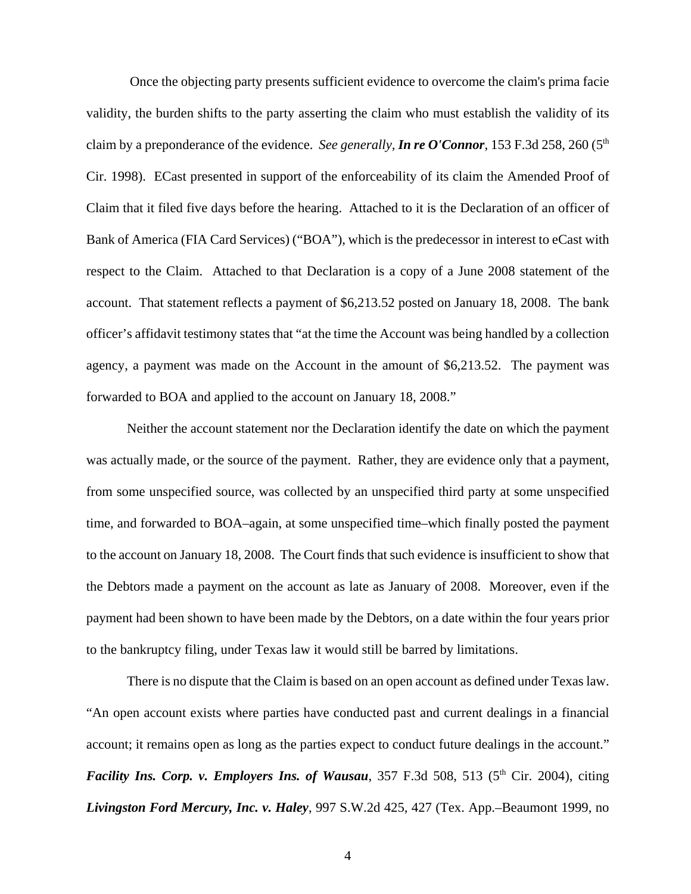Once the objecting party presents sufficient evidence to overcome the claim's prima facie validity, the burden shifts to the party asserting the claim who must establish the validity of its claim by a preponderance of the evidence. *See generally, In re O'Connor*, 153 F.3d 258, 260 (5th Cir. 1998). ECast presented in support of the enforceability of its claim the Amended Proof of Claim that it filed five days before the hearing. Attached to it is the Declaration of an officer of Bank of America (FIA Card Services) ("BOA"), which is the predecessor in interest to eCast with respect to the Claim. Attached to that Declaration is a copy of a June 2008 statement of the account. That statement reflects a payment of \$6,213.52 posted on January 18, 2008. The bank officer's affidavit testimony states that "at the time the Account was being handled by a collection agency, a payment was made on the Account in the amount of \$6,213.52. The payment was forwarded to BOA and applied to the account on January 18, 2008."

Neither the account statement nor the Declaration identify the date on which the payment was actually made, or the source of the payment. Rather, they are evidence only that a payment, from some unspecified source, was collected by an unspecified third party at some unspecified time, and forwarded to BOA–again, at some unspecified time–which finally posted the payment to the account on January 18, 2008. The Court finds that such evidence is insufficient to show that the Debtors made a payment on the account as late as January of 2008. Moreover, even if the payment had been shown to have been made by the Debtors, on a date within the four years prior to the bankruptcy filing, under Texas law it would still be barred by limitations.

There is no dispute that the Claim is based on an open account as defined under Texas law. "An open account exists where parties have conducted past and current dealings in a financial account; it remains open as long as the parties expect to conduct future dealings in the account." *Facility Ins. Corp. v. Employers Ins. of Wausau, 357 F.3d 508, 513 (5<sup>th</sup> Cir. 2004), citing Livingston Ford Mercury, Inc. v. Haley*, 997 S.W.2d 425, 427 (Tex. App.–Beaumont 1999, no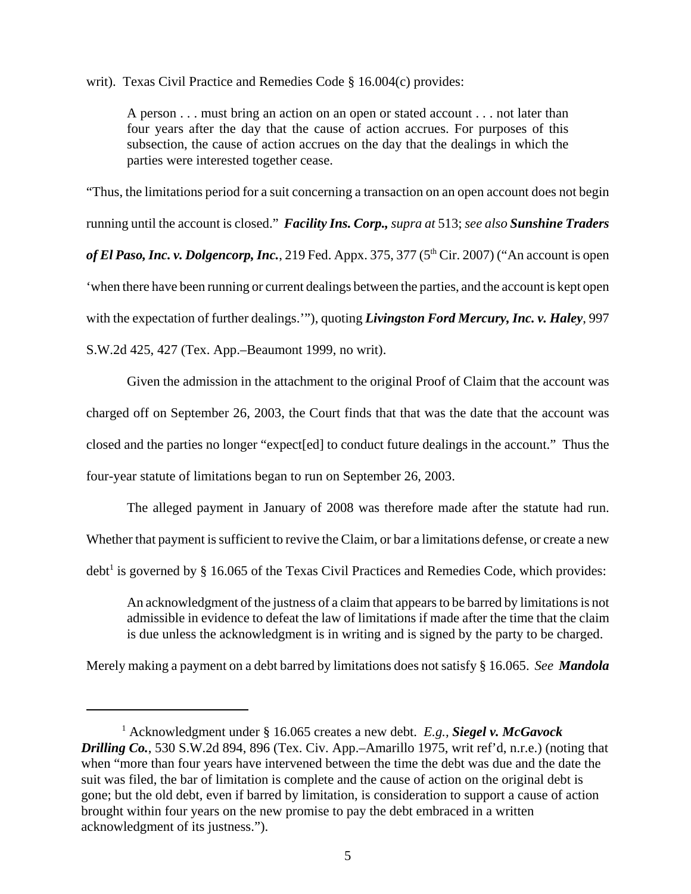writ). Texas Civil Practice and Remedies Code § 16.004(c) provides:

A person . . . must bring an action on an open or stated account . . . not later than four years after the day that the cause of action accrues. For purposes of this subsection, the cause of action accrues on the day that the dealings in which the parties were interested together cease.

"Thus, the limitations period for a suit concerning a transaction on an open account does not begin running until the account is closed." *Facility Ins. Corp., supra at* 513; *see also Sunshine Traders* of El Paso, Inc. v. Dolgencorp, Inc., 219 Fed. Appx. 375, 377 (5<sup>th</sup> Cir. 2007) ("An account is open 'when there have been running or current dealings between the parties, and the account is kept open with the expectation of further dealings.'"), quoting *Livingston Ford Mercury, Inc. v. Haley*, 997 S.W.2d 425, 427 (Tex. App.–Beaumont 1999, no writ).

Given the admission in the attachment to the original Proof of Claim that the account was charged off on September 26, 2003, the Court finds that that was the date that the account was closed and the parties no longer "expect[ed] to conduct future dealings in the account." Thus the four-year statute of limitations began to run on September 26, 2003.

The alleged payment in January of 2008 was therefore made after the statute had run. Whether that payment is sufficient to revive the Claim, or bar a limitations defense, or create a new debt<sup>1</sup> is governed by § 16.065 of the Texas Civil Practices and Remedies Code, which provides:

An acknowledgment of the justness of a claim that appears to be barred by limitations is not admissible in evidence to defeat the law of limitations if made after the time that the claim is due unless the acknowledgment is in writing and is signed by the party to be charged.

Merely making a payment on a debt barred by limitations does not satisfy § 16.065. *See Mandola*

<sup>1</sup> Acknowledgment under § 16.065 creates a new debt. *E.g., Siegel v. McGavock Drilling Co.*, 530 S.W.2d 894, 896 (Tex. Civ. App.–Amarillo 1975, writ ref'd, n.r.e.) (noting that when "more than four years have intervened between the time the debt was due and the date the suit was filed, the bar of limitation is complete and the cause of action on the original debt is gone; but the old debt, even if barred by limitation, is consideration to support a cause of action brought within four years on the new promise to pay the debt embraced in a written acknowledgment of its justness.").